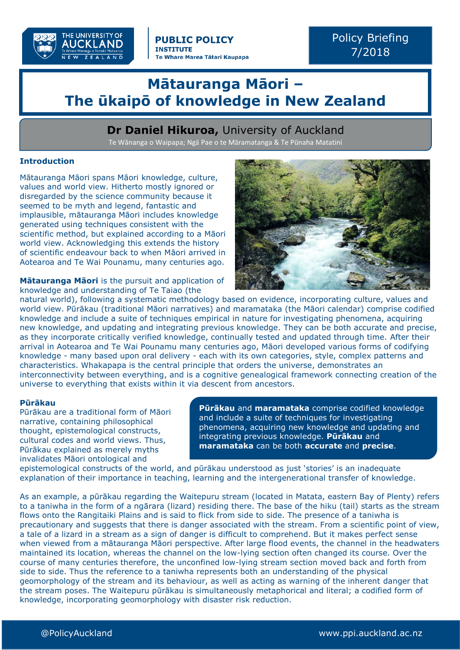

Policy Briefing 7/2018

# **Mātauranga Māori – The ūkaipō of knowledge in New Zealand**

# **Dr Daniel Hikuroa,** University of Auckland

Te Wānanga o Waipapa; Ngā Pae o te Māramatanga & Te Pūnaha Matatini

## **Introduction**

Mātauranga Māori spans Māori knowledge, culture, values and world view. Hitherto mostly ignored or disregarded by the science community because it seemed to be myth and legend, fantastic and implausible, mātauranga Māori includes knowledge generated using techniques consistent with the scientific method, but explained according to a Māori world view. Acknowledging this extends the history of scientific endeavour back to when Māori arrived in Aotearoa and Te Wai Pounamu, many centuries ago.

**Mātauranga Māori** is the pursuit and application of knowledge and understanding of Te Taiao (the



natural world), following a systematic methodology based on evidence, incorporating culture, values and world view. Pūrākau (traditional Māori narratives) and maramataka (the Māori calendar) comprise codified knowledge and include a suite of techniques empirical in nature for investigating phenomena, acquiring new knowledge, and updating and integrating previous knowledge. They can be both accurate and precise, as they incorporate critically verified knowledge, continually tested and updated through time. After their arrival in Aotearoa and Te Wai Pounamu many centuries ago, Māori developed various forms of codifying knowledge - many based upon oral delivery - each with its own categories, style, complex patterns and characteristics. Whakapapa is the central principle that orders the universe, demonstrates an interconnectivity between everything, and is a cognitive genealogical framework connecting creation of the universe to everything that exists within it via descent from ancestors.

### **Pūrākau**

Pūrākau are a traditional form of Māori narrative, containing philosophical thought, epistemological constructs, cultural codes and world views. Thus, Pūrākau explained as merely myths invalidates Māori ontological and

**Pūrākau** and **maramataka** comprise codified knowledge and include a suite of techniques for investigating phenomena, acquiring new knowledge and updating and integrating previous knowledge. **Pūrākau** and **maramataka** can be both **accurate** and **precise**.

epistemological constructs of the world, and pūrākau understood as just 'stories' is an inadequate explanation of their importance in teaching, learning and the intergenerational transfer of knowledge.

As an example, a pūrākau regarding the Waitepuru stream (located in Matata, eastern Bay of Plenty) refers to a taniwha in the form of a ngārara (lizard) residing there. The base of the hiku (tail) starts as the stream flows onto the Rangitaiki Plains and is said to flick from side to side. The presence of a taniwha is precautionary and suggests that there is danger associated with the stream. From a scientific point of view, a tale of a lizard in a stream as a sign of danger is difficult to comprehend. But it makes perfect sense when viewed from a mātauranga Māori perspective. After large flood events, the channel in the headwaters maintained its location, whereas the channel on the low-lying section often changed its course. Over the course of many centuries therefore, the unconfined low-lying stream section moved back and forth from side to side. Thus the reference to a taniwha represents both an understanding of the physical geomorphology of the stream and its behaviour, as well as acting as warning of the inherent danger that the stream poses. The Waitepuru pūrākau is simultaneously metaphorical and literal; a codified form of knowledge, incorporating geomorphology with disaster risk reduction.